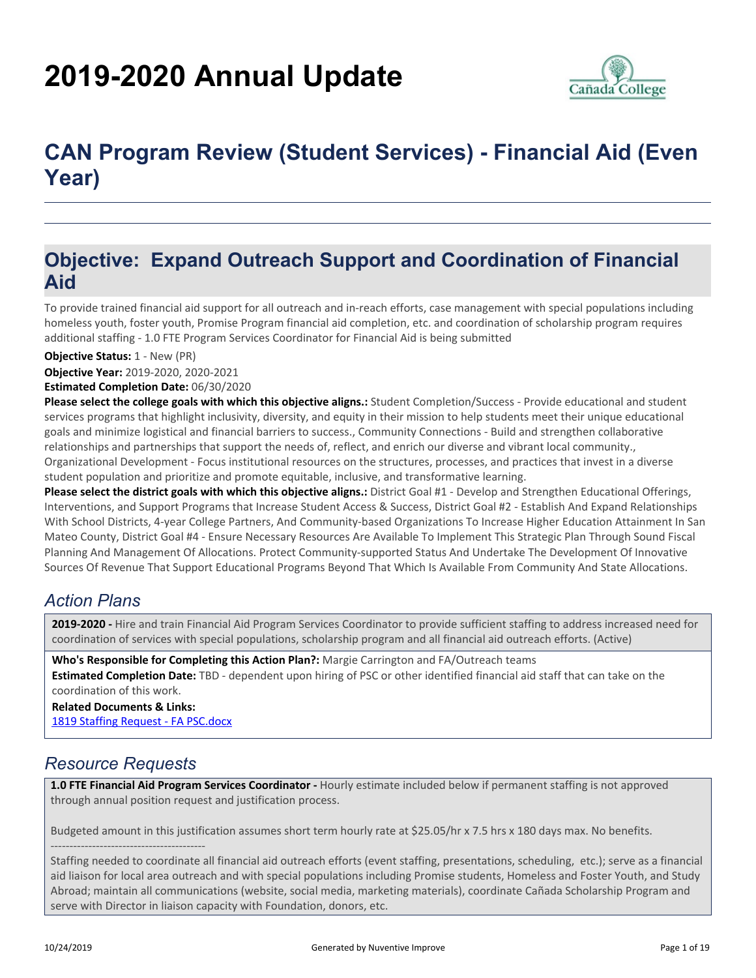# **2019-2020 Annual Update**



# **CAN Program Review (Student Services) - Financial Aid (Even Year)**

### **Objective: Expand Outreach Support and Coordination of Financial Aid**

To provide trained financial aid support for all outreach and in-reach efforts, case management with special populations including homeless youth, foster youth, Promise Program financial aid completion, etc. and coordination of scholarship program requires additional staffing - 1.0 FTE Program Services Coordinator for Financial Aid is being submitted

#### **Objective Status:** 1 - New (PR)

**Objective Year:** 2019-2020, 2020-2021

#### **Estimated Completion Date:** 06/30/2020

**Please select the college goals with which this objective aligns.:** Student Completion/Success - Provide educational and student services programs that highlight inclusivity, diversity, and equity in their mission to help students meet their unique educational goals and minimize logistical and financial barriers to success., Community Connections - Build and strengthen collaborative relationships and partnerships that support the needs of, reflect, and enrich our diverse and vibrant local community., Organizational Development - Focus institutional resources on the structures, processes, and practices that invest in a diverse student population and prioritize and promote equitable, inclusive, and transformative learning.

**Please select the district goals with which this objective aligns.:** District Goal #1 - Develop and Strengthen Educational Offerings, Interventions, and Support Programs that Increase Student Access & Success, District Goal #2 - Establish And Expand Relationships With School Districts, 4-year College Partners, And Community-based Organizations To Increase Higher Education Attainment In San Mateo County, District Goal #4 - Ensure Necessary Resources Are Available To Implement This Strategic Plan Through Sound Fiscal Planning And Management Of Allocations. Protect Community-supported Status And Undertake The Development Of Innovative Sources Of Revenue That Support Educational Programs Beyond That Which Is Available From Community And State Allocations.

#### *Action Plans*

**2019-2020 -** Hire and train Financial Aid Program Services Coordinator to provide sufficient staffing to address increased need for coordination of services with special populations, scholarship program and all financial aid outreach efforts. (Active)

**Who's Responsible for Completing this Action Plan?:** Margie Carrington and FA/Outreach teams **Estimated Completion Date:** TBD - dependent upon hiring of PSC or other identified financial aid staff that can take on the coordination of this work.

**Related Documents & Links:** [1819 Staffing Request - FA PSC.docx](https://sanmateo.tracdat.com:443/tracdat/viewDocument?y=qX5cjoaGFIsp)

#### *Resource Requests*

-----------------------------------------

**1.0 FTE Financial Aid Program Services Coordinator -** Hourly estimate included below if permanent staffing is not approved through annual position request and justification process.

Budgeted amount in this justification assumes short term hourly rate at \$25.05/hr x 7.5 hrs x 180 days max. No benefits.

Staffing needed to coordinate all financial aid outreach efforts (event staffing, presentations, scheduling, etc.); serve as a financial aid liaison for local area outreach and with special populations including Promise students, Homeless and Foster Youth, and Study Abroad; maintain all communications (website, social media, marketing materials), coordinate Cañada Scholarship Program and serve with Director in liaison capacity with Foundation, donors, etc.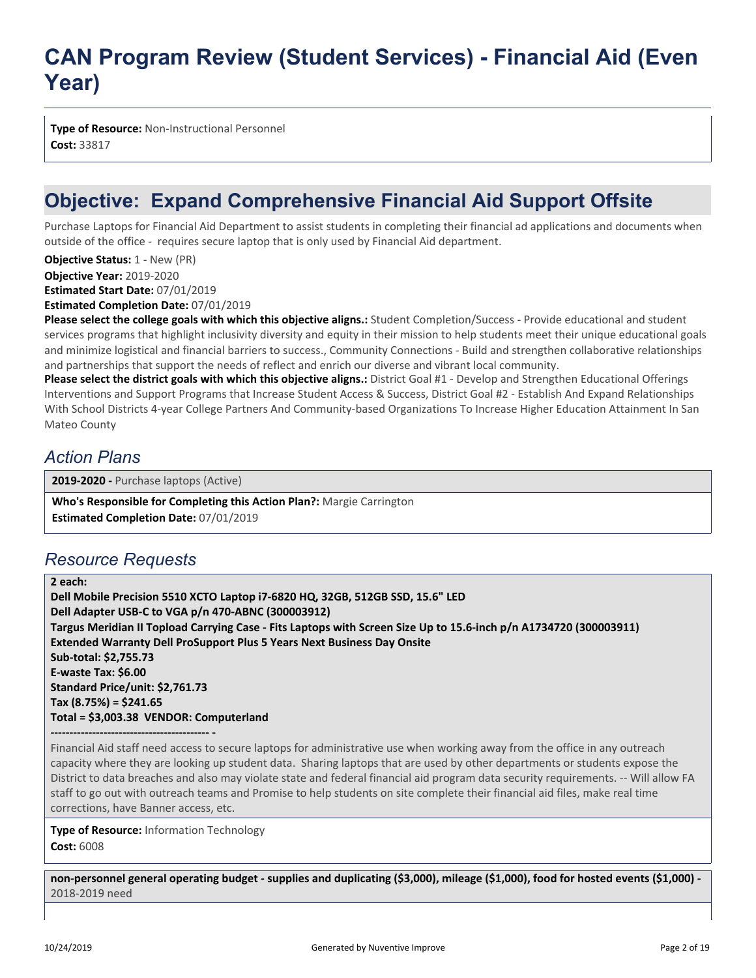**Type of Resource:** Non-Instructional Personnel **Cost:** 33817

## **Objective: Expand Comprehensive Financial Aid Support Offsite**

Purchase Laptops for Financial Aid Department to assist students in completing their financial ad applications and documents when outside of the office - requires secure laptop that is only used by Financial Aid department.

**Objective Year:** 2019-2020 **Estimated Start Date:** 07/01/2019 **Objective Status: 1 - New (PR)** 

**Estimated Completion Date:** 07/01/2019

**Please select the college goals with which this objective aligns.:** Student Completion/Success - Provide educational and student services programs that highlight inclusivity diversity and equity in their mission to help students meet their unique educational goals and minimize logistical and financial barriers to success., Community Connections - Build and strengthen collaborative relationships and partnerships that support the needs of reflect and enrich our diverse and vibrant local community.

**Please select the district goals with which this objective aligns.:** District Goal #1 - Develop and Strengthen Educational Offerings Interventions and Support Programs that Increase Student Access & Success, District Goal #2 - Establish And Expand Relationships With School Districts 4-year College Partners And Community-based Organizations To Increase Higher Education Attainment In San Mateo County

#### *Action Plans*

**2019-2020 -** Purchase laptops (Active)

**Who's Responsible for Completing this Action Plan?:** Margie Carrington **Estimated Completion Date:** 07/01/2019

### *Resource Requests*

**2 each: Dell Mobile Precision 5510 XCTO Laptop i7-6820 HQ, 32GB, 512GB SSD, 15.6" LED Dell Adapter USB-C to VGA p/n 470-ABNC (300003912) Targus Meridian II Topload Carrying Case - Fits Laptops with Screen Size Up to 15.6-inch p/n A1734720 (300003911) Extended Warranty Dell ProSupport Plus 5 Years Next Business Day Onsite Sub-total: \$2,755.73 E-waste Tax: \$6.00 Standard Price/unit: \$2,761.73 Tax (8.75%) = \$241.65 Total = \$3,003.38 VENDOR: Computerland**

**------------------------------------------ -**

Financial Aid staff need access to secure laptops for administrative use when working away from the office in any outreach capacity where they are looking up student data. Sharing laptops that are used by other departments or students expose the District to data breaches and also may violate state and federal financial aid program data security requirements. -- Will allow FA staff to go out with outreach teams and Promise to help students on site complete their financial aid files, make real time corrections, have Banner access, etc.

**Type of Resource:** Information Technology **Cost:** 6008

**non-personnel general operating budget - supplies and duplicating (\$3,000), mileage (\$1,000), food for hosted events (\$1,000) -** 2018-2019 need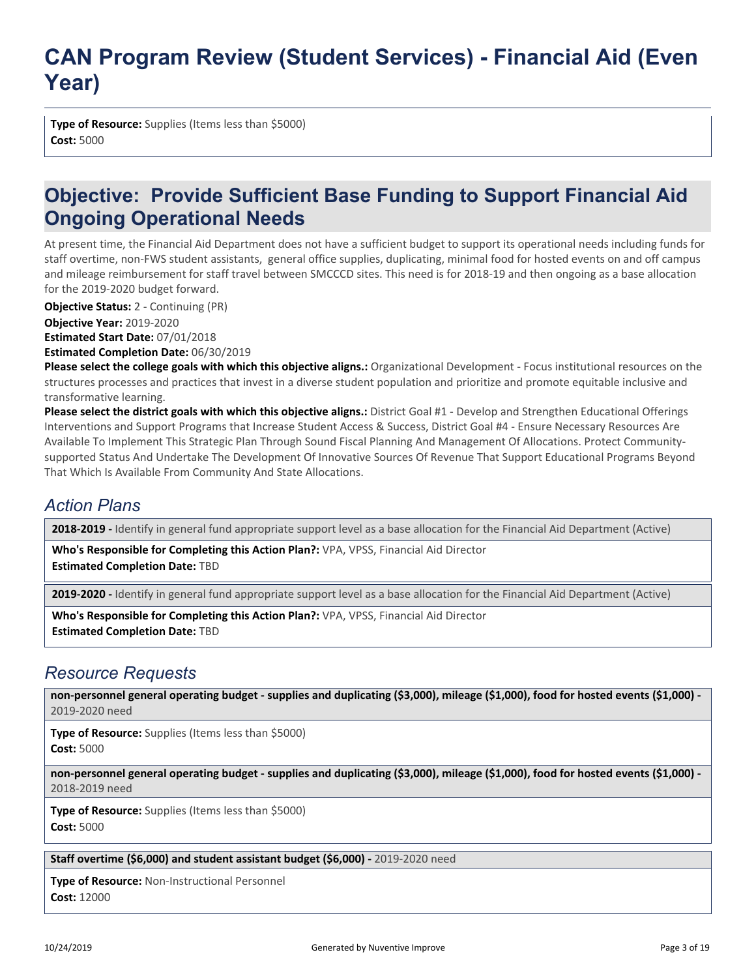**Type of Resource:** Supplies (Items less than \$5000) **Cost:** 5000

### **Objective: Provide Sufficient Base Funding to Support Financial Aid Ongoing Operational Needs**

At present time, the Financial Aid Department does not have a sufficient budget to support its operational needs including funds for staff overtime, non-FWS student assistants, general office supplies, duplicating, minimal food for hosted events on and off campus and mileage reimbursement for staff travel between SMCCCD sites. This need is for 2018-19 and then ongoing as a base allocation for the 2019-2020 budget forward.

**Objective Status:** 2 - Continuing (PR)

**Objective Year:** 2019-2020 **Estimated Start Date:** 07/01/2018 **Estimated Completion Date:** 06/30/2019

**Please select the college goals with which this objective aligns.:** Organizational Development - Focus institutional resources on the structures processes and practices that invest in a diverse student population and prioritize and promote equitable inclusive and transformative learning.

**Please select the district goals with which this objective aligns.:** District Goal #1 - Develop and Strengthen Educational Offerings Interventions and Support Programs that Increase Student Access & Success, District Goal #4 - Ensure Necessary Resources Are Available To Implement This Strategic Plan Through Sound Fiscal Planning And Management Of Allocations. Protect Communitysupported Status And Undertake The Development Of Innovative Sources Of Revenue That Support Educational Programs Beyond That Which Is Available From Community And State Allocations.

### *Action Plans*

**2018-2019 -** Identify in general fund appropriate support level as a base allocation for the Financial Aid Department (Active)

**Who's Responsible for Completing this Action Plan?:** VPA, VPSS, Financial Aid Director **Estimated Completion Date:** TBD

**2019-2020 -** Identify in general fund appropriate support level as a base allocation for the Financial Aid Department (Active)

**Who's Responsible for Completing this Action Plan?:** VPA, VPSS, Financial Aid Director **Estimated Completion Date:** TBD

#### *Resource Requests*

**non-personnel general operating budget - supplies and duplicating (\$3,000), mileage (\$1,000), food for hosted events (\$1,000) -** 2019-2020 need

**Type of Resource:** Supplies (Items less than \$5000) **Cost:** 5000

**non-personnel general operating budget - supplies and duplicating (\$3,000), mileage (\$1,000), food for hosted events (\$1,000) -** 2018-2019 need

**Type of Resource:** Supplies (Items less than \$5000) **Cost:** 5000

#### **Staff overtime (\$6,000) and student assistant budget (\$6,000) -** 2019-2020 need

**Type of Resource:** Non-Instructional Personnel **Cost:** 12000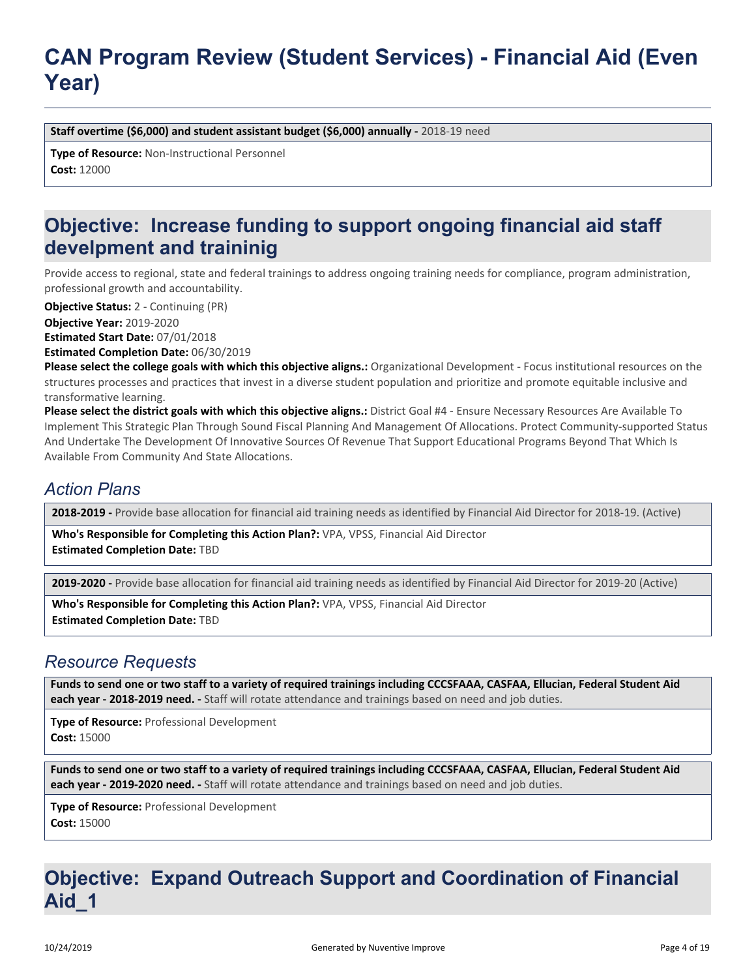**Staff overtime (\$6,000) and student assistant budget (\$6,000) annually - 2018-19 need** 

**Type of Resource:** Non-Instructional Personnel **Cost:** 12000

### **Objective: Increase funding to support ongoing financial aid staff develpment and traininig**

Provide access to regional, state and federal trainings to address ongoing training needs for compliance, program administration, professional growth and accountability.

**Objective Status:** 2 - Continuing (PR)

**Objective Year:** 2019-2020 **Estimated Start Date:** 07/01/2018

**Estimated Completion Date:** 06/30/2019

**Please select the college goals with which this objective aligns.:** Organizational Development - Focus institutional resources on the structures processes and practices that invest in a diverse student population and prioritize and promote equitable inclusive and transformative learning.

**Please select the district goals with which this objective aligns.:** District Goal #4 - Ensure Necessary Resources Are Available To Implement This Strategic Plan Through Sound Fiscal Planning And Management Of Allocations. Protect Community-supported Status And Undertake The Development Of Innovative Sources Of Revenue That Support Educational Programs Beyond That Which Is Available From Community And State Allocations.

#### *Action Plans*

**2018-2019 -** Provide base allocation for financial aid training needs as identified by Financial Aid Director for 2018-19. (Active)

**Who's Responsible for Completing this Action Plan?:** VPA, VPSS, Financial Aid Director **Estimated Completion Date:** TBD

**2019-2020 -** Provide base allocation for financial aid training needs as identified by Financial Aid Director for 2019-20 (Active)

**Who's Responsible for Completing this Action Plan?:** VPA, VPSS, Financial Aid Director **Estimated Completion Date:** TBD

#### *Resource Requests*

**Funds to send one or two staff to a variety of required trainings including CCCSFAAA, CASFAA, Ellucian, Federal Student Aid each year - 2018-2019 need. -** Staff will rotate attendance and trainings based on need and job duties.

**Type of Resource:** Professional Development **Cost:** 15000

**Funds to send one or two staff to a variety of required trainings including CCCSFAAA, CASFAA, Ellucian, Federal Student Aid each year - 2019-2020 need. -** Staff will rotate attendance and trainings based on need and job duties.

**Type of Resource:** Professional Development **Cost:** 15000

### **Objective: Expand Outreach Support and Coordination of Financial Aid\_1**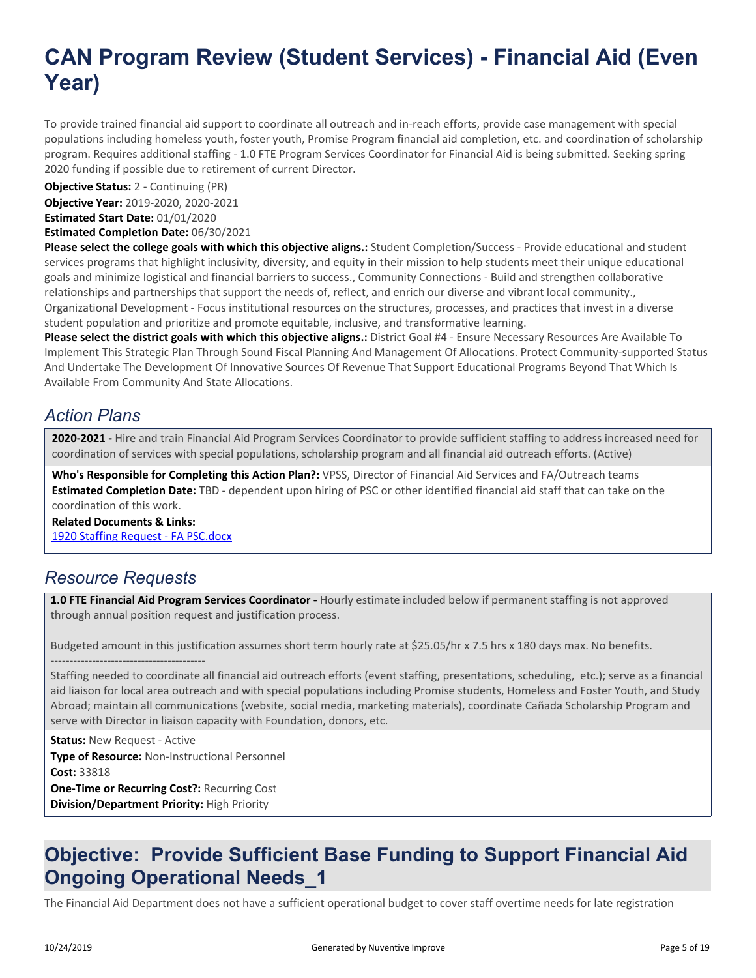To provide trained financial aid support to coordinate all outreach and in-reach efforts, provide case management with special populations including homeless youth, foster youth, Promise Program financial aid completion, etc. and coordination of scholarship program. Requires additional staffing - 1.0 FTE Program Services Coordinator for Financial Aid is being submitted. Seeking spring 2020 funding if possible due to retirement of current Director.

**Objective Status:** 2 - Continuing (PR)

**Objective Year:** 2019-2020, 2020-2021 **Estimated Start Date:** 01/01/2020

**Estimated Completion Date:** 06/30/2021

**Please select the college goals with which this objective aligns.:** Student Completion/Success - Provide educational and student services programs that highlight inclusivity, diversity, and equity in their mission to help students meet their unique educational goals and minimize logistical and financial barriers to success., Community Connections - Build and strengthen collaborative relationships and partnerships that support the needs of, reflect, and enrich our diverse and vibrant local community., Organizational Development - Focus institutional resources on the structures, processes, and practices that invest in a diverse student population and prioritize and promote equitable, inclusive, and transformative learning.

**Please select the district goals with which this objective aligns.:** District Goal #4 - Ensure Necessary Resources Are Available To Implement This Strategic Plan Through Sound Fiscal Planning And Management Of Allocations. Protect Community-supported Status And Undertake The Development Of Innovative Sources Of Revenue That Support Educational Programs Beyond That Which Is Available From Community And State Allocations.

### *Action Plans*

**2020-2021 -** Hire and train Financial Aid Program Services Coordinator to provide sufficient staffing to address increased need for coordination of services with special populations, scholarship program and all financial aid outreach efforts. (Active)

**Who's Responsible for Completing this Action Plan?:** VPSS, Director of Financial Aid Services and FA/Outreach teams **Estimated Completion Date:** TBD - dependent upon hiring of PSC or other identified financial aid staff that can take on the coordination of this work.

**Related Documents & Links:**

[1920 Staffing Request - FA PSC.docx](https://sanmateo.tracdat.com:443/tracdat/viewDocument?y=bXQtbw54Ys6W)

#### *Resource Requests*

**1.0 FTE Financial Aid Program Services Coordinator -** Hourly estimate included below if permanent staffing is not approved through annual position request and justification process.

Budgeted amount in this justification assumes short term hourly rate at \$25.05/hr x 7.5 hrs x 180 days max. No benefits. -----------------------------------------

Staffing needed to coordinate all financial aid outreach efforts (event staffing, presentations, scheduling, etc.); serve as a financial aid liaison for local area outreach and with special populations including Promise students, Homeless and Foster Youth, and Study Abroad; maintain all communications (website, social media, marketing materials), coordinate Cañada Scholarship Program and serve with Director in liaison capacity with Foundation, donors, etc.

**Status:** New Request - Active **Type of Resource:** Non-Instructional Personnel **Cost:** 33818 **One-Time or Recurring Cost?:** Recurring Cost **Division/Department Priority:** High Priority

### **Objective: Provide Sufficient Base Funding to Support Financial Aid Ongoing Operational Needs\_1**

The Financial Aid Department does not have a sufficient operational budget to cover staff overtime needs for late registration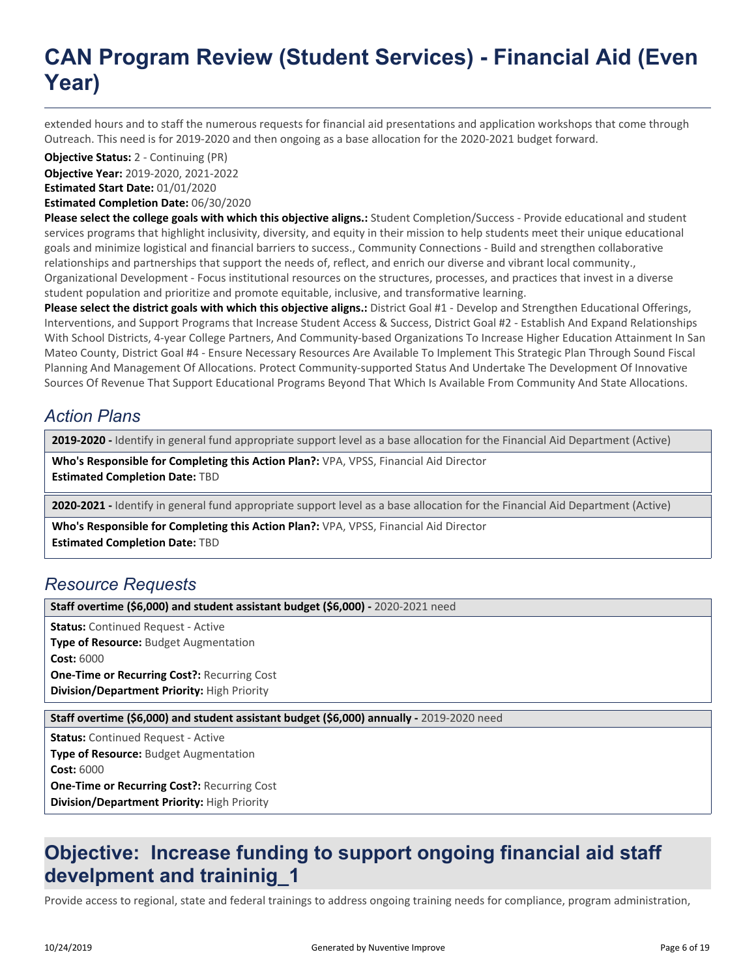extended hours and to staff the numerous requests for financial aid presentations and application workshops that come through Outreach. This need is for 2019-2020 and then ongoing as a base allocation for the 2020-2021 budget forward.

**Objective Status:** 2 - Continuing (PR)

**Objective Year:** 2019-2020, 2021-2022 **Estimated Start Date:** 01/01/2020

**Estimated Completion Date:** 06/30/2020

**Please select the college goals with which this objective aligns.:** Student Completion/Success - Provide educational and student services programs that highlight inclusivity, diversity, and equity in their mission to help students meet their unique educational goals and minimize logistical and financial barriers to success., Community Connections - Build and strengthen collaborative relationships and partnerships that support the needs of, reflect, and enrich our diverse and vibrant local community., Organizational Development - Focus institutional resources on the structures, processes, and practices that invest in a diverse student population and prioritize and promote equitable, inclusive, and transformative learning.

**Please select the district goals with which this objective aligns.:** District Goal #1 - Develop and Strengthen Educational Offerings, Interventions, and Support Programs that Increase Student Access & Success, District Goal #2 - Establish And Expand Relationships With School Districts, 4-year College Partners, And Community-based Organizations To Increase Higher Education Attainment In San Mateo County, District Goal #4 - Ensure Necessary Resources Are Available To Implement This Strategic Plan Through Sound Fiscal Planning And Management Of Allocations. Protect Community-supported Status And Undertake The Development Of Innovative Sources Of Revenue That Support Educational Programs Beyond That Which Is Available From Community And State Allocations.

### *Action Plans*

**2019-2020 -** Identify in general fund appropriate support level as a base allocation for the Financial Aid Department (Active)

**Who's Responsible for Completing this Action Plan?:** VPA, VPSS, Financial Aid Director **Estimated Completion Date:** TBD

**2020-2021 -** Identify in general fund appropriate support level as a base allocation for the Financial Aid Department (Active)

**Who's Responsible for Completing this Action Plan?:** VPA, VPSS, Financial Aid Director

**Estimated Completion Date:** TBD

#### *Resource Requests*

**Staff overtime (\$6,000) and student assistant budget (\$6,000) -** 2020-2021 need

**Status:** Continued Request - Active **Type of Resource:** Budget Augmentation **Cost:** 6000 **One-Time or Recurring Cost?:** Recurring Cost **Division/Department Priority:** High Priority

**Staff overtime (\$6,000) and student assistant budget (\$6,000) annually - 2019-2020 need** 

**Status:** Continued Request - Active **Type of Resource:** Budget Augmentation **Cost:** 6000 **One-Time or Recurring Cost?:** Recurring Cost **Division/Department Priority:** High Priority

### **Objective: Increase funding to support ongoing financial aid staff develpment and traininig\_1**

Provide access to regional, state and federal trainings to address ongoing training needs for compliance, program administration,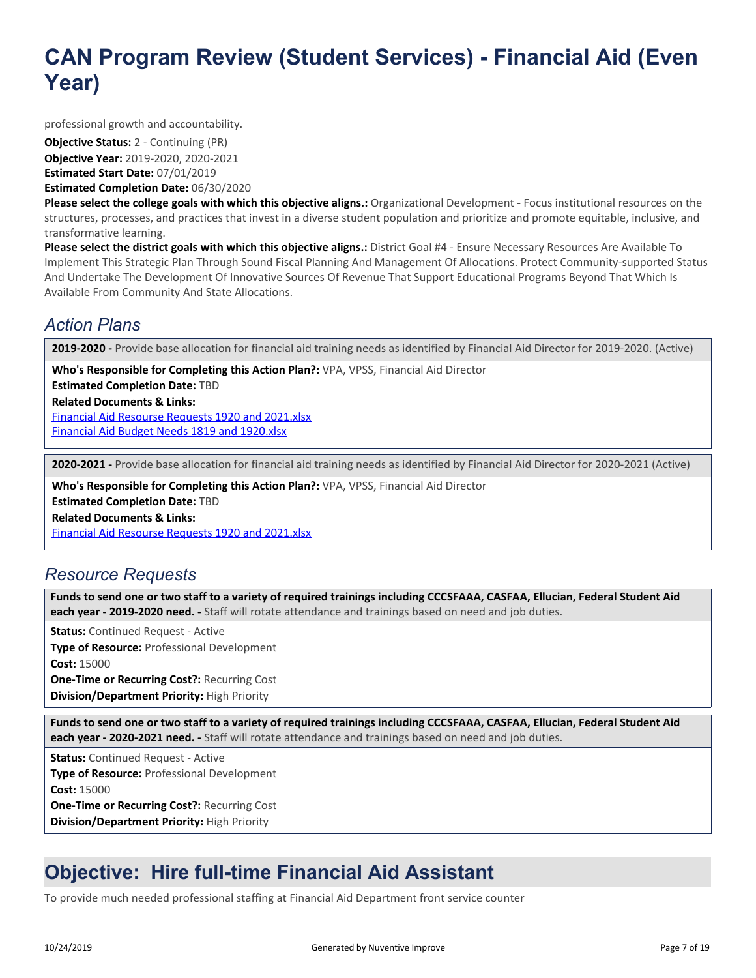professional growth and accountability.

**Objective Year:** 2019-2020, 2020-2021 **Estimated Start Date:** 07/01/2019 **Objective Status:** 2 - Continuing (PR)

**Estimated Completion Date:** 06/30/2020

**Please select the college goals with which this objective aligns.:** Organizational Development - Focus institutional resources on the structures, processes, and practices that invest in a diverse student population and prioritize and promote equitable, inclusive, and transformative learning.

**Please select the district goals with which this objective aligns.:** District Goal #4 - Ensure Necessary Resources Are Available To Implement This Strategic Plan Through Sound Fiscal Planning And Management Of Allocations. Protect Community-supported Status And Undertake The Development Of Innovative Sources Of Revenue That Support Educational Programs Beyond That Which Is Available From Community And State Allocations.

#### *Action Plans*

**2019-2020 -** Provide base allocation for financial aid training needs as identified by Financial Aid Director for 2019-2020. (Active)

**Who's Responsible for Completing this Action Plan?:** VPA, VPSS, Financial Aid Director

**Estimated Completion Date:** TBD

**Related Documents & Links:**

[Financial Aid Resourse Requests 1920 and 2021.xlsx](https://sanmateo.tracdat.com:443/tracdat/viewDocument?y=SCeQPXQt6lEZ) [Financial Aid Budget Needs 1819 and 1920.xlsx](https://sanmateo.tracdat.com:443/tracdat/viewDocument?y=tZvFhfN2mRYf)

**2020-2021 -** Provide base allocation for financial aid training needs as identified by Financial Aid Director for 2020-2021 (Active)

**Who's Responsible for Completing this Action Plan?:** VPA, VPSS, Financial Aid Director

**Estimated Completion Date:** TBD

**Related Documents & Links:**

[Financial Aid Resourse Requests 1920 and 2021.xlsx](https://sanmateo.tracdat.com:443/tracdat/viewDocument?y=SCeQPXQt6lEZ)

#### *Resource Requests*

**Funds to send one or two staff to a variety of required trainings including CCCSFAAA, CASFAA, Ellucian, Federal Student Aid each year - 2019-2020 need. -** Staff will rotate attendance and trainings based on need and job duties.

**Status:** Continued Request - Active **Type of Resource:** Professional Development **Cost:** 15000 **One-Time or Recurring Cost?:** Recurring Cost **Division/Department Priority:** High Priority

**Funds to send one or two staff to a variety of required trainings including CCCSFAAA, CASFAA, Ellucian, Federal Student Aid each year - 2020-2021 need. -** Staff will rotate attendance and trainings based on need and job duties.

**Status:** Continued Request - Active

**Type of Resource:** Professional Development **Cost:** 15000 **One-Time or Recurring Cost?:** Recurring Cost **Division/Department Priority:** High Priority

## **Objective: Hire full-time Financial Aid Assistant**

To provide much needed professional staffing at Financial Aid Department front service counter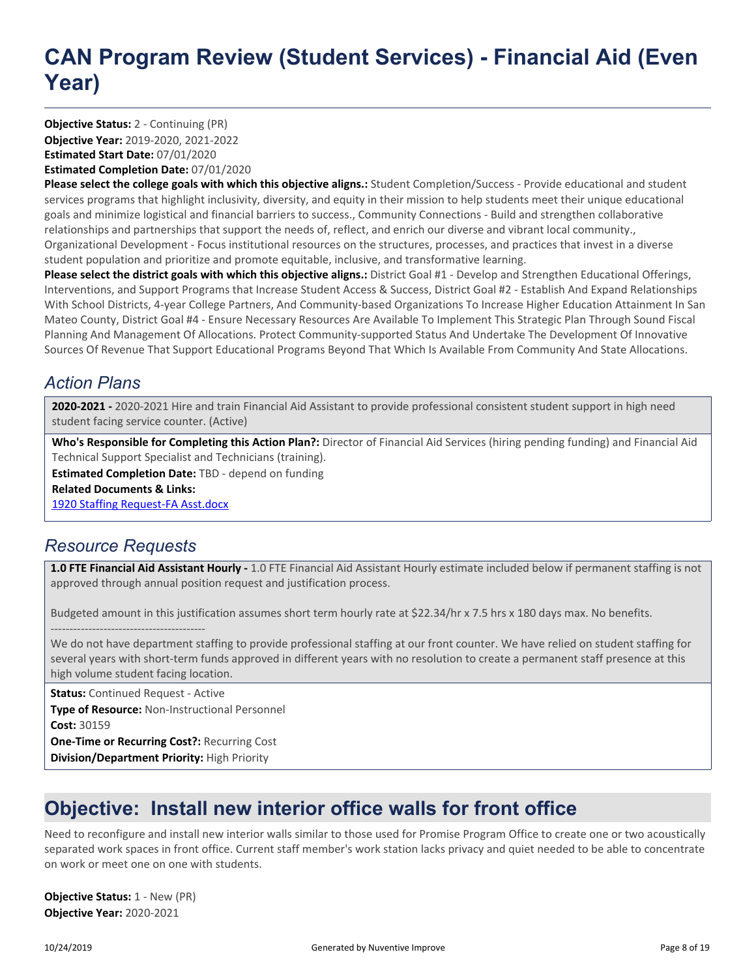**Objective Year:** 2019-2020, 2021-2022 **Estimated Start Date:** 07/01/2020 **Estimated Completion Date:** 07/01/2020 **Objective Status:** 2 - Continuing (PR)

**Please select the college goals with which this objective aligns.:** Student Completion/Success - Provide educational and student services programs that highlight inclusivity, diversity, and equity in their mission to help students meet their unique educational goals and minimize logistical and financial barriers to success., Community Connections - Build and strengthen collaborative relationships and partnerships that support the needs of, reflect, and enrich our diverse and vibrant local community., Organizational Development - Focus institutional resources on the structures, processes, and practices that invest in a diverse student population and prioritize and promote equitable, inclusive, and transformative learning.

**Please select the district goals with which this objective aligns.:** District Goal #1 - Develop and Strengthen Educational Offerings, Interventions, and Support Programs that Increase Student Access & Success, District Goal #2 - Establish And Expand Relationships With School Districts, 4-year College Partners, And Community-based Organizations To Increase Higher Education Attainment In San Mateo County, District Goal #4 - Ensure Necessary Resources Are Available To Implement This Strategic Plan Through Sound Fiscal Planning And Management Of Allocations. Protect Community-supported Status And Undertake The Development Of Innovative Sources Of Revenue That Support Educational Programs Beyond That Which Is Available From Community And State Allocations.

### *Action Plans*

**2020-2021 -** 2020-2021 Hire and train Financial Aid Assistant to provide professional consistent student support in high need student facing service counter. (Active)

**Who's Responsible for Completing this Action Plan?:** Director of Financial Aid Services (hiring pending funding) and Financial Aid Technical Support Specialist and Technicians (training).

**Estimated Completion Date:** TBD - depend on funding

**Related Documents & Links:**

[1920 Staffing Request-FA Asst.docx](https://sanmateo.tracdat.com:443/tracdat/viewDocument?y=kbkNXfTa23x3)

### *Resource Requests*

**1.0 FTE Financial Aid Assistant Hourly -** 1.0 FTE Financial Aid Assistant Hourly estimate included below if permanent staffing is not approved through annual position request and justification process.

Budgeted amount in this justification assumes short term hourly rate at \$22.34/hr x 7.5 hrs x 180 days max. No benefits.

----------------------------------------- We do not have department staffing to provide professional staffing at our front counter. We have relied on student staffing for several years with short-term funds approved in different years with no resolution to create a permanent staff presence at this high volume student facing location.

**Status:** Continued Request - Active **Type of Resource:** Non-Instructional Personnel **Cost:** 30159 **One-Time or Recurring Cost?:** Recurring Cost **Division/Department Priority:** High Priority

## **Objective: Install new interior office walls for front office**

Need to reconfigure and install new interior walls similar to those used for Promise Program Office to create one or two acoustically separated work spaces in front office. Current staff member's work station lacks privacy and quiet needed to be able to concentrate on work or meet one on one with students.

**Objective Year:** 2020-2021 **Objective Status:** 1 - New (PR)